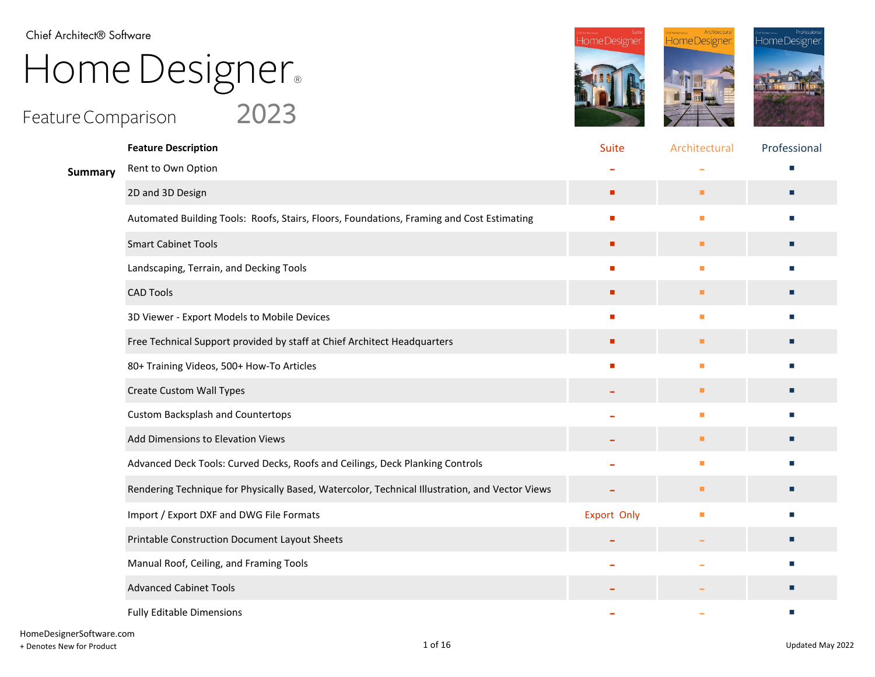Chief Architect® Software

## Home Designer®

## Feature Comparison  $\quad$   $\quad$   $2023$





|         | <b>Feature Description</b>                                                                     | <b>Suite</b>       | Architectural | Professional |
|---------|------------------------------------------------------------------------------------------------|--------------------|---------------|--------------|
| Summary | Rent to Own Option                                                                             |                    |               |              |
|         | 2D and 3D Design                                                                               | ٠                  | ш             | п            |
|         | Automated Building Tools: Roofs, Stairs, Floors, Foundations, Framing and Cost Estimating      | п                  | п             | п            |
|         | <b>Smart Cabinet Tools</b>                                                                     | п                  | п             | п            |
|         | Landscaping, Terrain, and Decking Tools                                                        |                    | п             | m.           |
|         | <b>CAD Tools</b>                                                                               |                    | ш             | п            |
|         | 3D Viewer - Export Models to Mobile Devices                                                    |                    | п             |              |
|         | Free Technical Support provided by staff at Chief Architect Headquarters                       | ٠                  | ш             | п            |
|         | 80+ Training Videos, 500+ How-To Articles                                                      |                    | п             | <b>COL</b>   |
|         | <b>Create Custom Wall Types</b>                                                                |                    | ш             | п            |
|         | <b>Custom Backsplash and Countertops</b>                                                       |                    | п             |              |
|         | Add Dimensions to Elevation Views                                                              |                    | п             | п            |
|         | Advanced Deck Tools: Curved Decks, Roofs and Ceilings, Deck Planking Controls                  |                    | п             | п            |
|         | Rendering Technique for Physically Based, Watercolor, Technical Illustration, and Vector Views |                    | ш             | п            |
|         | Import / Export DXF and DWG File Formats                                                       | <b>Export Only</b> | п             | п            |
|         | Printable Construction Document Layout Sheets                                                  |                    |               | п            |
|         | Manual Roof, Ceiling, and Framing Tools                                                        |                    |               | п            |
|         | <b>Advanced Cabinet Tools</b>                                                                  |                    |               | п            |
|         | <b>Fully Editable Dimensions</b>                                                               |                    |               |              |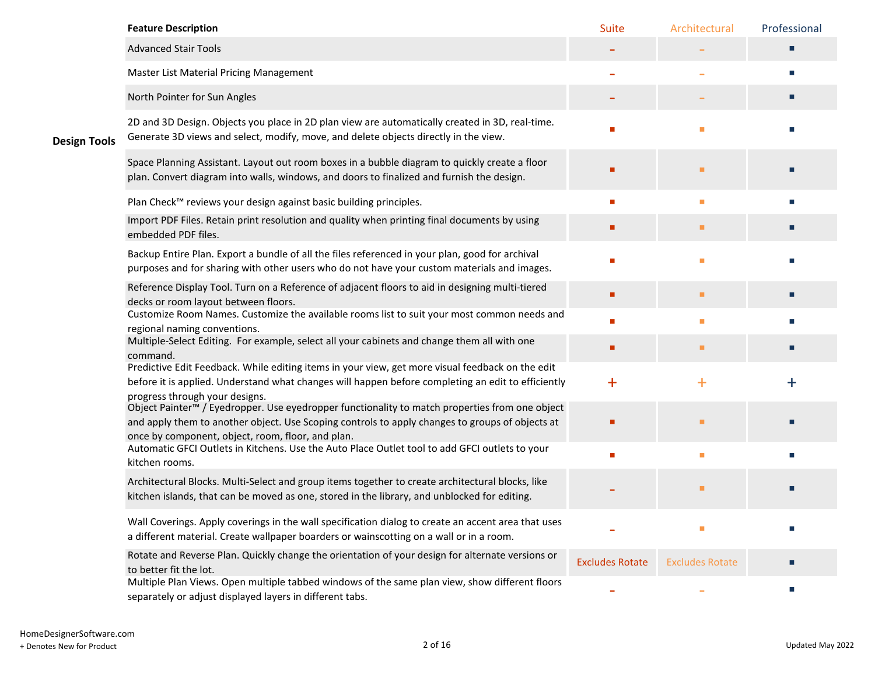|                     | <b>Feature Description</b>                                                                                                                                                                                                                                         | Suite                  | Architectural          | Professional                |
|---------------------|--------------------------------------------------------------------------------------------------------------------------------------------------------------------------------------------------------------------------------------------------------------------|------------------------|------------------------|-----------------------------|
|                     | <b>Advanced Stair Tools</b>                                                                                                                                                                                                                                        |                        |                        | ш                           |
| <b>Design Tools</b> | Master List Material Pricing Management                                                                                                                                                                                                                            |                        |                        | m.                          |
|                     | North Pointer for Sun Angles                                                                                                                                                                                                                                       |                        |                        | ш                           |
|                     | 2D and 3D Design. Objects you place in 2D plan view are automatically created in 3D, real-time.<br>Generate 3D views and select, modify, move, and delete objects directly in the view.                                                                            |                        | п                      |                             |
|                     | Space Planning Assistant. Layout out room boxes in a bubble diagram to quickly create a floor<br>plan. Convert diagram into walls, windows, and doors to finalized and furnish the design.                                                                         |                        | п                      |                             |
|                     | Plan Check™ reviews your design against basic building principles.                                                                                                                                                                                                 | п                      | ٠                      | п                           |
|                     | Import PDF Files. Retain print resolution and quality when printing final documents by using<br>embedded PDF files.                                                                                                                                                | п                      | ш                      | ш                           |
|                     | Backup Entire Plan. Export a bundle of all the files referenced in your plan, good for archival<br>purposes and for sharing with other users who do not have your custom materials and images.                                                                     |                        | п                      |                             |
|                     | Reference Display Tool. Turn on a Reference of adjacent floors to aid in designing multi-tiered<br>decks or room layout between floors.                                                                                                                            | п                      | ٠                      | п                           |
|                     | Customize Room Names. Customize the available rooms list to suit your most common needs and<br>regional naming conventions.                                                                                                                                        | ٠                      | п                      |                             |
|                     | Multiple-Select Editing. For example, select all your cabinets and change them all with one<br>command.                                                                                                                                                            | п                      | п                      | ш                           |
|                     | Predictive Edit Feedback. While editing items in your view, get more visual feedback on the edit<br>before it is applied. Understand what changes will happen before completing an edit to efficiently<br>progress through your designs.                           | $\ddagger$             | $\ddot{\phantom{1}}$   | $\ddag$                     |
|                     | Object Painter <sup>™</sup> / Eyedropper. Use eyedropper functionality to match properties from one object<br>and apply them to another object. Use Scoping controls to apply changes to groups of objects at<br>once by component, object, room, floor, and plan. |                        |                        |                             |
|                     | Automatic GFCI Outlets in Kitchens. Use the Auto Place Outlet tool to add GFCI outlets to your<br>kitchen rooms.                                                                                                                                                   | п                      | п                      | m.                          |
|                     | Architectural Blocks. Multi-Select and group items together to create architectural blocks, like<br>kitchen islands, that can be moved as one, stored in the library, and unblocked for editing.                                                                   |                        | ٠                      |                             |
|                     | Wall Coverings. Apply coverings in the wall specification dialog to create an accent area that uses<br>a different material. Create wallpaper boarders or wainscotting on a wall or in a room.                                                                     |                        |                        | <b>COL</b>                  |
|                     | Rotate and Reverse Plan. Quickly change the orientation of your design for alternate versions or<br>to better fit the lot.                                                                                                                                         | <b>Excludes Rotate</b> | <b>Excludes Rotate</b> | ш                           |
|                     | Multiple Plan Views. Open multiple tabbed windows of the same plan view, show different floors<br>separately or adjust displayed layers in different tabs.                                                                                                         |                        |                        | $\mathcal{L}_{\mathcal{A}}$ |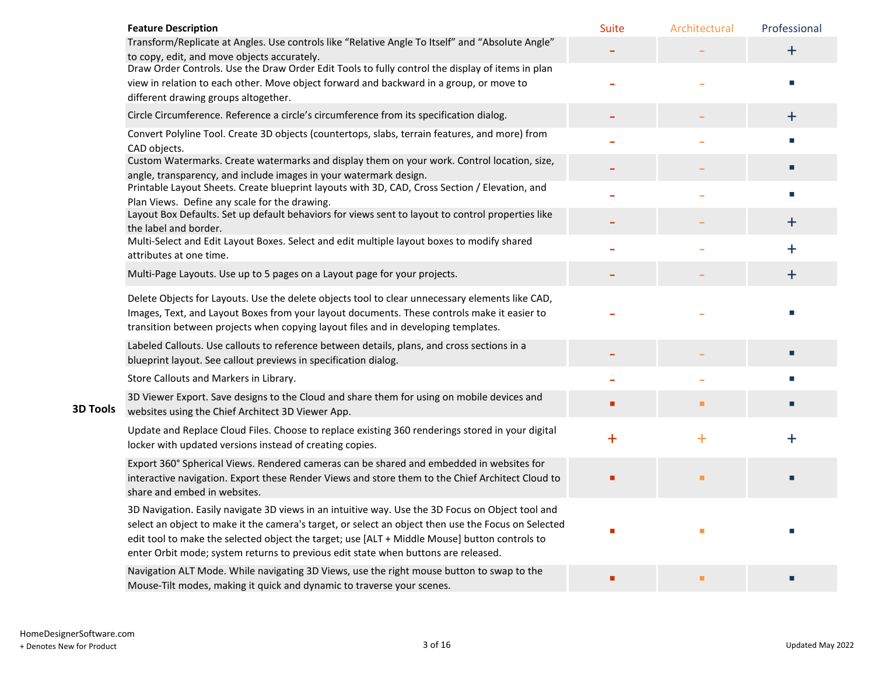|                 | <b>Feature Description</b>                                                                                                                                                                                                                                                                                                                                                                     | <b>Suite</b> | Architectural | Professional |
|-----------------|------------------------------------------------------------------------------------------------------------------------------------------------------------------------------------------------------------------------------------------------------------------------------------------------------------------------------------------------------------------------------------------------|--------------|---------------|--------------|
|                 | Transform/Replicate at Angles. Use controls like "Relative Angle To Itself" and "Absolute Angle"<br>to copy, edit, and move objects accurately.                                                                                                                                                                                                                                                |              |               | $+$          |
|                 | Draw Order Controls. Use the Draw Order Edit Tools to fully control the display of items in plan<br>view in relation to each other. Move object forward and backward in a group, or move to<br>different drawing groups altogether.                                                                                                                                                            |              |               |              |
|                 | Circle Circumference. Reference a circle's circumference from its specification dialog.                                                                                                                                                                                                                                                                                                        |              |               | $+$          |
|                 | Convert Polyline Tool. Create 3D objects (countertops, slabs, terrain features, and more) from<br>CAD objects.                                                                                                                                                                                                                                                                                 |              |               |              |
|                 | Custom Watermarks. Create watermarks and display them on your work. Control location, size,<br>angle, transparency, and include images in your watermark design.                                                                                                                                                                                                                               |              |               | п            |
|                 | Printable Layout Sheets. Create blueprint layouts with 3D, CAD, Cross Section / Elevation, and<br>Plan Views. Define any scale for the drawing.                                                                                                                                                                                                                                                |              |               | ш            |
|                 | Layout Box Defaults. Set up default behaviors for views sent to layout to control properties like<br>the label and border.                                                                                                                                                                                                                                                                     |              |               | $\ddot{}$    |
|                 | Multi-Select and Edit Layout Boxes. Select and edit multiple layout boxes to modify shared<br>attributes at one time.                                                                                                                                                                                                                                                                          |              |               | ┿            |
|                 | Multi-Page Layouts. Use up to 5 pages on a Layout page for your projects.                                                                                                                                                                                                                                                                                                                      |              |               | $\ddagger$   |
|                 | Delete Objects for Layouts. Use the delete objects tool to clear unnecessary elements like CAD,<br>Images, Text, and Layout Boxes from your layout documents. These controls make it easier to<br>transition between projects when copying layout files and in developing templates.                                                                                                           |              |               |              |
|                 | Labeled Callouts. Use callouts to reference between details, plans, and cross sections in a<br>blueprint layout. See callout previews in specification dialog.                                                                                                                                                                                                                                 |              |               |              |
|                 | Store Callouts and Markers in Library.                                                                                                                                                                                                                                                                                                                                                         |              |               |              |
| <b>3D Tools</b> | 3D Viewer Export. Save designs to the Cloud and share them for using on mobile devices and<br>websites using the Chief Architect 3D Viewer App.                                                                                                                                                                                                                                                |              | ٠             | П            |
|                 | Update and Replace Cloud Files. Choose to replace existing 360 renderings stored in your digital<br>locker with updated versions instead of creating copies.                                                                                                                                                                                                                                   | $+$          | $\ddot{}$     | $\ddag$      |
|                 | Export 360° Spherical Views. Rendered cameras can be shared and embedded in websites for<br>interactive navigation. Export these Render Views and store them to the Chief Architect Cloud to<br>share and embed in websites.                                                                                                                                                                   |              | ٠             |              |
|                 | 3D Navigation. Easily navigate 3D views in an intuitive way. Use the 3D Focus on Object tool and<br>select an object to make it the camera's target, or select an object then use the Focus on Selected<br>edit tool to make the selected object the target; use [ALT + Middle Mouse] button controls to<br>enter Orbit mode; system returns to previous edit state when buttons are released. |              |               |              |
|                 | Navigation ALT Mode. While navigating 3D Views, use the right mouse button to swap to the<br>Mouse-Tilt modes, making it quick and dynamic to traverse your scenes.                                                                                                                                                                                                                            |              | п             |              |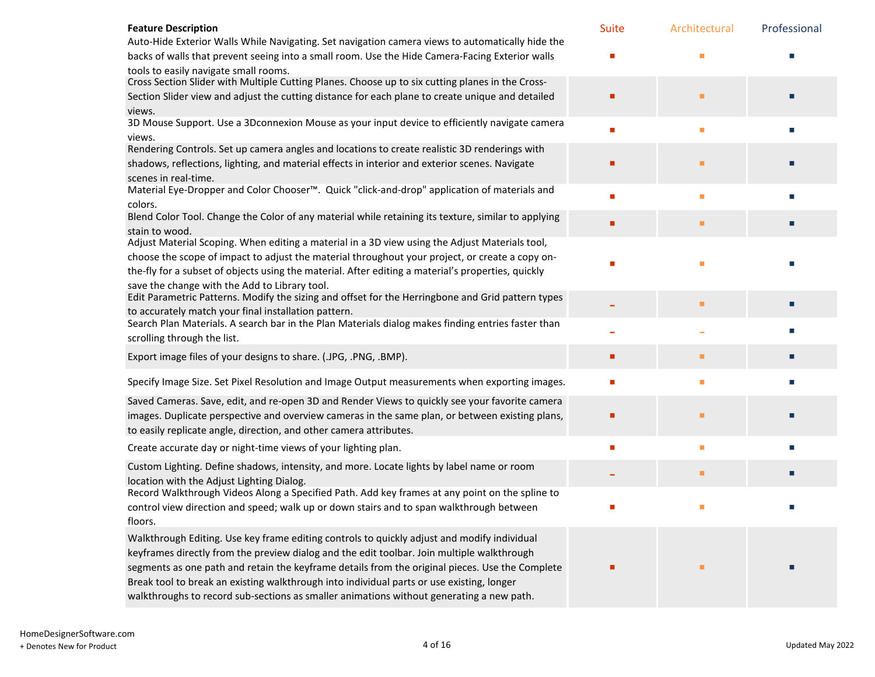| <b>Feature Description</b>                                                                                                                                                            | <b>Suite</b> | Architectural | Professional |
|---------------------------------------------------------------------------------------------------------------------------------------------------------------------------------------|--------------|---------------|--------------|
| Auto-Hide Exterior Walls While Navigating. Set navigation camera views to automatically hide the                                                                                      |              |               |              |
| backs of walls that prevent seeing into a small room. Use the Hide Camera-Facing Exterior walls                                                                                       |              |               |              |
| tools to easily navigate small rooms.                                                                                                                                                 |              |               |              |
| Cross Section Slider with Multiple Cutting Planes. Choose up to six cutting planes in the Cross-                                                                                      |              |               |              |
| Section Slider view and adjust the cutting distance for each plane to create unique and detailed<br>views.                                                                            |              |               |              |
| 3D Mouse Support. Use a 3Dconnexion Mouse as your input device to efficiently navigate camera<br>views.                                                                               | п            | ٠             |              |
| Rendering Controls. Set up camera angles and locations to create realistic 3D renderings with                                                                                         |              |               |              |
| shadows, reflections, lighting, and material effects in interior and exterior scenes. Navigate                                                                                        |              |               |              |
| scenes in real-time.                                                                                                                                                                  |              |               |              |
| Material Eye-Dropper and Color Chooser™. Quick "click-and-drop" application of materials and<br>colors.                                                                               | п            | п             |              |
| Blend Color Tool. Change the Color of any material while retaining its texture, similar to applying                                                                                   | г            | п             |              |
| stain to wood.                                                                                                                                                                        |              |               |              |
| Adjust Material Scoping. When editing a material in a 3D view using the Adjust Materials tool,                                                                                        |              |               |              |
| choose the scope of impact to adjust the material throughout your project, or create a copy on-                                                                                       |              | г             |              |
| the-fly for a subset of objects using the material. After editing a material's properties, quickly                                                                                    |              |               |              |
| save the change with the Add to Library tool.<br>Edit Parametric Patterns. Modify the sizing and offset for the Herringbone and Grid pattern types                                    |              |               |              |
| to accurately match your final installation pattern.                                                                                                                                  |              | п             |              |
| Search Plan Materials. A search bar in the Plan Materials dialog makes finding entries faster than<br>scrolling through the list.                                                     |              |               |              |
| Export image files of your designs to share. (.JPG, .PNG, .BMP).                                                                                                                      | г            | п             |              |
| Specify Image Size. Set Pixel Resolution and Image Output measurements when exporting images.                                                                                         |              |               |              |
| Saved Cameras. Save, edit, and re-open 3D and Render Views to quickly see your favorite camera                                                                                        |              |               |              |
| images. Duplicate perspective and overview cameras in the same plan, or between existing plans,                                                                                       |              | п             |              |
| to easily replicate angle, direction, and other camera attributes.                                                                                                                    |              |               |              |
| Create accurate day or night-time views of your lighting plan.                                                                                                                        | п            | п             |              |
| Custom Lighting. Define shadows, intensity, and more. Locate lights by label name or room                                                                                             |              |               |              |
| location with the Adjust Lighting Dialog.<br>Record Walkthrough Videos Along a Specified Path. Add key frames at any point on the spline to                                           |              | п             |              |
| control view direction and speed; walk up or down stairs and to span walkthrough between                                                                                              |              |               |              |
| floors.                                                                                                                                                                               |              |               |              |
| Walkthrough Editing. Use key frame editing controls to quickly adjust and modify individual                                                                                           |              |               |              |
| keyframes directly from the preview dialog and the edit toolbar. Join multiple walkthrough                                                                                            |              |               |              |
| segments as one path and retain the keyframe details from the original pieces. Use the Complete                                                                                       | г            | п             |              |
| Break tool to break an existing walkthrough into individual parts or use existing, longer<br>walkthroughs to record sub-sections as smaller animations without generating a new path. |              |               |              |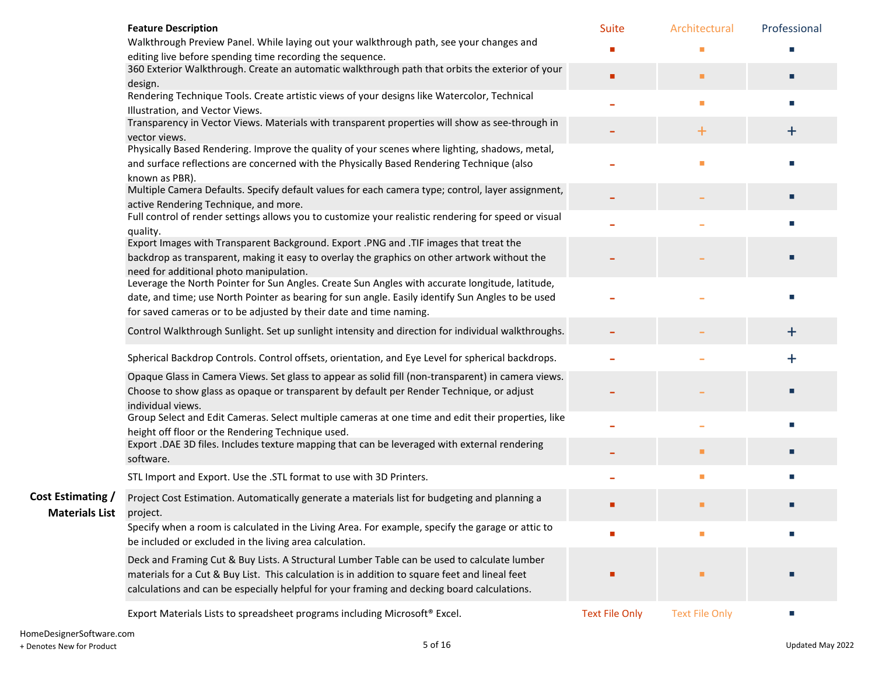|                          | <b>Feature Description</b>                                                                             | <b>Suite</b>          | Architectural         | Professional |
|--------------------------|--------------------------------------------------------------------------------------------------------|-----------------------|-----------------------|--------------|
|                          | Walkthrough Preview Panel. While laying out your walkthrough path, see your changes and                |                       |                       |              |
|                          | editing live before spending time recording the sequence.                                              |                       |                       |              |
|                          | 360 Exterior Walkthrough. Create an automatic walkthrough path that orbits the exterior of your        | п                     | ٠                     | п            |
|                          | design.<br>Rendering Technique Tools. Create artistic views of your designs like Watercolor, Technical |                       |                       |              |
|                          | Illustration, and Vector Views.                                                                        |                       | ٠                     | п            |
|                          | Transparency in Vector Views. Materials with transparent properties will show as see-through in        |                       |                       |              |
|                          | vector views.                                                                                          |                       | $\pm$                 | $+$          |
|                          | Physically Based Rendering. Improve the quality of your scenes where lighting, shadows, metal,         |                       |                       |              |
|                          | and surface reflections are concerned with the Physically Based Rendering Technique (also              |                       |                       |              |
|                          | known as PBR).                                                                                         |                       |                       |              |
|                          | Multiple Camera Defaults. Specify default values for each camera type; control, layer assignment,      |                       |                       |              |
|                          | active Rendering Technique, and more.                                                                  |                       |                       | п            |
|                          | Full control of render settings allows you to customize your realistic rendering for speed or visual   |                       |                       |              |
|                          | quality.                                                                                               |                       |                       |              |
|                          | Export Images with Transparent Background. Export .PNG and .TIF images that treat the                  |                       |                       |              |
|                          | backdrop as transparent, making it easy to overlay the graphics on other artwork without the           |                       |                       |              |
|                          | need for additional photo manipulation.                                                                |                       |                       |              |
|                          | Leverage the North Pointer for Sun Angles. Create Sun Angles with accurate longitude, latitude,        |                       |                       |              |
|                          | date, and time; use North Pointer as bearing for sun angle. Easily identify Sun Angles to be used      |                       |                       |              |
|                          | for saved cameras or to be adjusted by their date and time naming.                                     |                       |                       |              |
|                          | Control Walkthrough Sunlight. Set up sunlight intensity and direction for individual walkthroughs.     |                       |                       | $\mathbf +$  |
|                          | Spherical Backdrop Controls. Control offsets, orientation, and Eye Level for spherical backdrops.      |                       |                       | $\ddag$      |
|                          | Opaque Glass in Camera Views. Set glass to appear as solid fill (non-transparent) in camera views.     |                       |                       |              |
|                          | Choose to show glass as opaque or transparent by default per Render Technique, or adjust               |                       |                       |              |
|                          | individual views.                                                                                      |                       |                       |              |
|                          | Group Select and Edit Cameras. Select multiple cameras at one time and edit their properties, like     |                       |                       |              |
|                          | height off floor or the Rendering Technique used.                                                      |                       |                       |              |
|                          | Export .DAE 3D files. Includes texture mapping that can be leveraged with external rendering           |                       | п                     |              |
|                          | software.                                                                                              |                       |                       |              |
|                          | STL Import and Export. Use the .STL format to use with 3D Printers.                                    |                       | ш                     |              |
| <b>Cost Estimating /</b> | Project Cost Estimation. Automatically generate a materials list for budgeting and planning a          |                       |                       |              |
| <b>Materials List</b>    | project.                                                                                               |                       | ■                     | П            |
|                          | Specify when a room is calculated in the Living Area. For example, specify the garage or attic to      |                       |                       |              |
|                          | be included or excluded in the living area calculation.                                                |                       |                       |              |
|                          | Deck and Framing Cut & Buy Lists. A Structural Lumber Table can be used to calculate lumber            |                       |                       |              |
|                          | materials for a Cut & Buy List. This calculation is in addition to square feet and lineal feet         |                       | п                     |              |
|                          | calculations and can be especially helpful for your framing and decking board calculations.            |                       |                       |              |
|                          |                                                                                                        |                       |                       |              |
|                          | Export Materials Lists to spreadsheet programs including Microsoft® Excel.                             | <b>Text File Only</b> | <b>Text File Only</b> |              |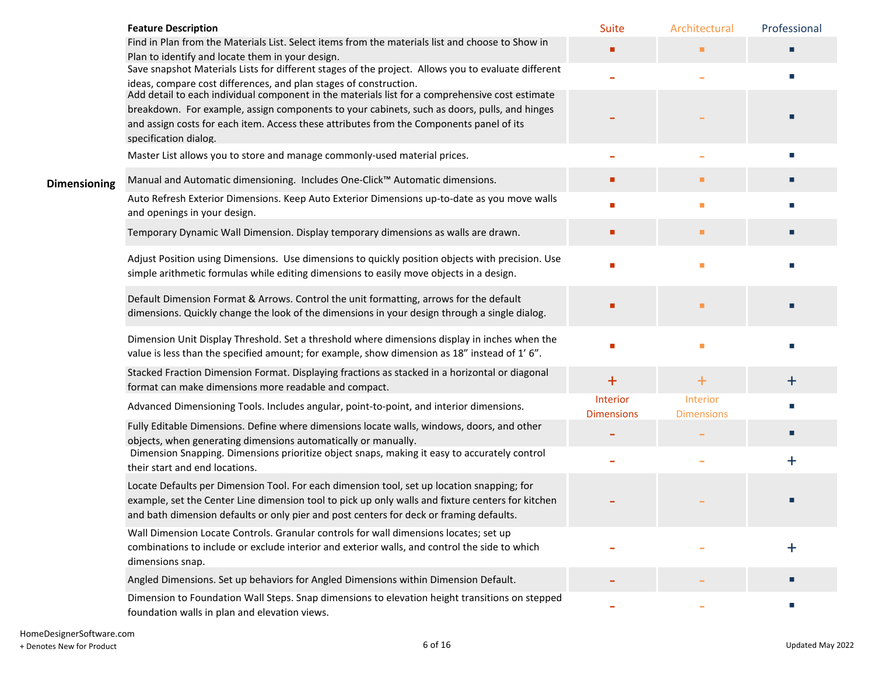|                     | <b>Feature Description</b>                                                                                                                                                                     | <b>Suite</b>                  | Architectural                        | Professional |
|---------------------|------------------------------------------------------------------------------------------------------------------------------------------------------------------------------------------------|-------------------------------|--------------------------------------|--------------|
|                     | Find in Plan from the Materials List. Select items from the materials list and choose to Show in                                                                                               |                               |                                      |              |
|                     | Plan to identify and locate them in your design.<br>Save snapshot Materials Lists for different stages of the project. Allows you to evaluate different                                        |                               |                                      |              |
|                     | ideas, compare cost differences, and plan stages of construction.                                                                                                                              |                               |                                      |              |
|                     | Add detail to each individual component in the materials list for a comprehensive cost estimate                                                                                                |                               |                                      |              |
|                     | breakdown. For example, assign components to your cabinets, such as doors, pulls, and hinges                                                                                                   |                               |                                      |              |
|                     | and assign costs for each item. Access these attributes from the Components panel of its<br>specification dialog.                                                                              |                               |                                      |              |
|                     | Master List allows you to store and manage commonly-used material prices.                                                                                                                      |                               |                                      | <b>COL</b>   |
| <b>Dimensioning</b> | Manual and Automatic dimensioning. Includes One-Click™ Automatic dimensions.                                                                                                                   | ٠                             | ш                                    |              |
|                     | Auto Refresh Exterior Dimensions. Keep Auto Exterior Dimensions up-to-date as you move walls<br>and openings in your design.                                                                   | п                             | ш                                    |              |
|                     | Temporary Dynamic Wall Dimension. Display temporary dimensions as walls are drawn.                                                                                                             | п                             | ٠                                    |              |
|                     | Adjust Position using Dimensions. Use dimensions to quickly position objects with precision. Use                                                                                               | ٠                             |                                      |              |
|                     | simple arithmetic formulas while editing dimensions to easily move objects in a design.                                                                                                        |                               | ٠                                    |              |
|                     | Default Dimension Format & Arrows. Control the unit formatting, arrows for the default                                                                                                         |                               | п                                    |              |
|                     | dimensions. Quickly change the look of the dimensions in your design through a single dialog.                                                                                                  |                               |                                      |              |
|                     | Dimension Unit Display Threshold. Set a threshold where dimensions display in inches when the<br>value is less than the specified amount; for example, show dimension as 18" instead of 1' 6". |                               | ٠                                    |              |
|                     |                                                                                                                                                                                                |                               |                                      |              |
|                     | Stacked Fraction Dimension Format. Displaying fractions as stacked in a horizontal or diagonal<br>format can make dimensions more readable and compact.                                        | $\ddot{}$                     | $\ddot{}$                            | $\mathbf +$  |
|                     | Advanced Dimensioning Tools. Includes angular, point-to-point, and interior dimensions.                                                                                                        | Interior<br><b>Dimensions</b> | <b>Interior</b><br><b>Dimensions</b> |              |
|                     | Fully Editable Dimensions. Define where dimensions locate walls, windows, doors, and other                                                                                                     |                               |                                      |              |
|                     | objects, when generating dimensions automatically or manually.                                                                                                                                 |                               |                                      |              |
|                     | Dimension Snapping. Dimensions prioritize object snaps, making it easy to accurately control<br>their start and end locations.                                                                 |                               |                                      | $\mathbf +$  |
|                     | Locate Defaults per Dimension Tool. For each dimension tool, set up location snapping; for                                                                                                     |                               |                                      |              |
|                     | example, set the Center Line dimension tool to pick up only walls and fixture centers for kitchen                                                                                              |                               |                                      |              |
|                     | and bath dimension defaults or only pier and post centers for deck or framing defaults.                                                                                                        |                               |                                      |              |
|                     | Wall Dimension Locate Controls. Granular controls for wall dimensions locates; set up                                                                                                          |                               |                                      |              |
|                     | combinations to include or exclude interior and exterior walls, and control the side to which                                                                                                  |                               |                                      | ┿            |
|                     | dimensions snap.                                                                                                                                                                               |                               |                                      |              |
|                     | Angled Dimensions. Set up behaviors for Angled Dimensions within Dimension Default.                                                                                                            |                               |                                      |              |
|                     | Dimension to Foundation Wall Steps. Snap dimensions to elevation height transitions on stepped<br>foundation walls in plan and elevation views.                                                |                               |                                      | m.           |
|                     |                                                                                                                                                                                                |                               |                                      |              |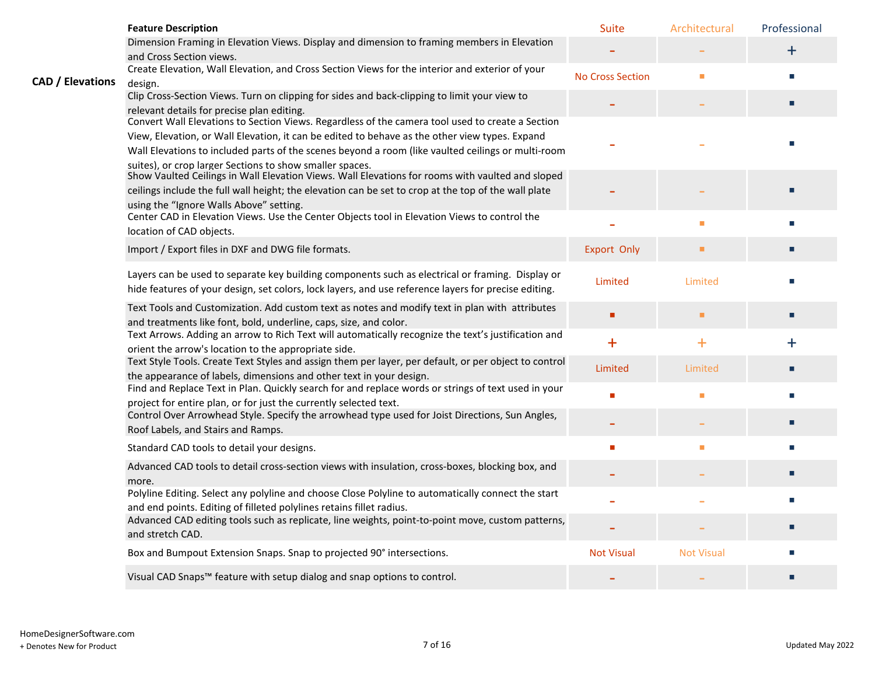|                         | <b>Feature Description</b>                                                                                                                                                   | <b>Suite</b>            | Architectural     | Professional |
|-------------------------|------------------------------------------------------------------------------------------------------------------------------------------------------------------------------|-------------------------|-------------------|--------------|
|                         | Dimension Framing in Elevation Views. Display and dimension to framing members in Elevation                                                                                  |                         |                   | $\ddot{}$    |
|                         | and Cross Section views.                                                                                                                                                     |                         |                   |              |
| <b>CAD / Elevations</b> | Create Elevation, Wall Elevation, and Cross Section Views for the interior and exterior of your<br>design.                                                                   | <b>No Cross Section</b> | п                 | п            |
|                         | Clip Cross-Section Views. Turn on clipping for sides and back-clipping to limit your view to                                                                                 |                         |                   |              |
|                         | relevant details for precise plan editing.                                                                                                                                   |                         |                   | п            |
|                         | Convert Wall Elevations to Section Views. Regardless of the camera tool used to create a Section                                                                             |                         |                   |              |
|                         | View, Elevation, or Wall Elevation, it can be edited to behave as the other view types. Expand                                                                               |                         |                   |              |
|                         | Wall Elevations to included parts of the scenes beyond a room (like vaulted ceilings or multi-room                                                                           |                         |                   |              |
|                         | suites), or crop larger Sections to show smaller spaces.<br>Show Vaulted Ceilings in Wall Elevation Views. Wall Elevations for rooms with vaulted and sloped                 |                         |                   |              |
|                         | ceilings include the full wall height; the elevation can be set to crop at the top of the wall plate                                                                         |                         |                   |              |
|                         | using the "Ignore Walls Above" setting.                                                                                                                                      |                         |                   |              |
|                         | Center CAD in Elevation Views. Use the Center Objects tool in Elevation Views to control the<br>location of CAD objects.                                                     |                         |                   |              |
|                         |                                                                                                                                                                              |                         |                   |              |
|                         | Import / Export files in DXF and DWG file formats.                                                                                                                           | <b>Export Only</b>      | ٠                 | П            |
|                         | Layers can be used to separate key building components such as electrical or framing. Display or                                                                             |                         |                   |              |
|                         | hide features of your design, set colors, lock layers, and use reference layers for precise editing.                                                                         | Limited                 | Limited           | п            |
|                         | Text Tools and Customization. Add custom text as notes and modify text in plan with attributes                                                                               |                         |                   |              |
|                         | and treatments like font, bold, underline, caps, size, and color.                                                                                                            | п                       | п                 | п            |
|                         | Text Arrows. Adding an arrow to Rich Text will automatically recognize the text's justification and                                                                          | $+$                     | $\ddot{}$         | $\ddag$      |
|                         | orient the arrow's location to the appropriate side.                                                                                                                         |                         |                   |              |
|                         | Text Style Tools. Create Text Styles and assign them per layer, per default, or per object to control<br>the appearance of labels, dimensions and other text in your design. | Limited                 | Limited           | П            |
|                         | Find and Replace Text in Plan. Quickly search for and replace words or strings of text used in your                                                                          |                         |                   |              |
|                         | project for entire plan, or for just the currently selected text.                                                                                                            | п                       | п                 |              |
|                         | Control Over Arrowhead Style. Specify the arrowhead type used for Joist Directions, Sun Angles,                                                                              |                         |                   | П            |
|                         | Roof Labels, and Stairs and Ramps.                                                                                                                                           |                         |                   |              |
|                         | Standard CAD tools to detail your designs.                                                                                                                                   | п                       |                   |              |
|                         | Advanced CAD tools to detail cross-section views with insulation, cross-boxes, blocking box, and                                                                             |                         |                   | П            |
|                         | more.                                                                                                                                                                        |                         |                   |              |
|                         | Polyline Editing. Select any polyline and choose Close Polyline to automatically connect the start<br>and end points. Editing of filleted polylines retains fillet radius.   |                         |                   | п            |
|                         | Advanced CAD editing tools such as replicate, line weights, point-to-point move, custom patterns,                                                                            |                         |                   |              |
|                         | and stretch CAD.                                                                                                                                                             |                         |                   |              |
|                         | Box and Bumpout Extension Snaps. Snap to projected 90° intersections.                                                                                                        | <b>Not Visual</b>       | <b>Not Visual</b> | П            |
|                         | Visual CAD Snaps <sup>™</sup> feature with setup dialog and snap options to control.                                                                                         |                         |                   |              |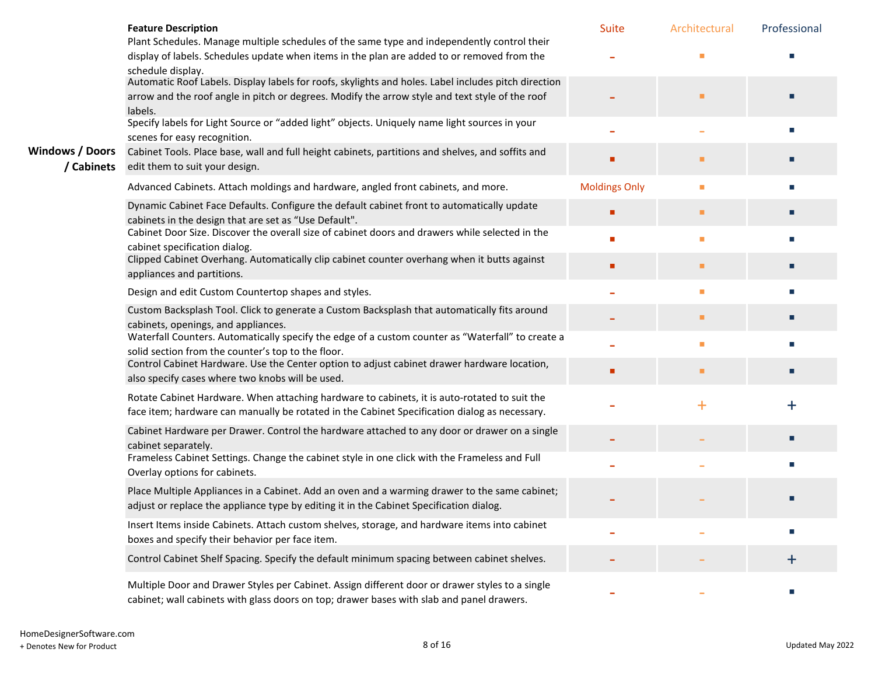|                                      | <b>Feature Description</b>                                                                                                                                                                                         | <b>Suite</b>         | Architectural  | Professional |
|--------------------------------------|--------------------------------------------------------------------------------------------------------------------------------------------------------------------------------------------------------------------|----------------------|----------------|--------------|
|                                      | Plant Schedules. Manage multiple schedules of the same type and independently control their<br>display of labels. Schedules update when items in the plan are added to or removed from the<br>schedule display.    |                      |                |              |
|                                      | Automatic Roof Labels. Display labels for roofs, skylights and holes. Label includes pitch direction<br>arrow and the roof angle in pitch or degrees. Modify the arrow style and text style of the roof<br>labels. |                      |                |              |
|                                      | Specify labels for Light Source or "added light" objects. Uniquely name light sources in your<br>scenes for easy recognition.                                                                                      |                      |                | п            |
| <b>Windows / Doors</b><br>/ Cabinets | Cabinet Tools. Place base, wall and full height cabinets, partitions and shelves, and soffits and<br>edit them to suit your design.                                                                                |                      |                |              |
|                                      | Advanced Cabinets. Attach moldings and hardware, angled front cabinets, and more.                                                                                                                                  | <b>Moldings Only</b> | $\blacksquare$ | П            |
|                                      | Dynamic Cabinet Face Defaults. Configure the default cabinet front to automatically update<br>cabinets in the design that are set as "Use Default".                                                                |                      | п              |              |
|                                      | Cabinet Door Size. Discover the overall size of cabinet doors and drawers while selected in the<br>cabinet specification dialog.                                                                                   |                      | п              |              |
|                                      | Clipped Cabinet Overhang. Automatically clip cabinet counter overhang when it butts against<br>appliances and partitions.                                                                                          |                      | ٠              | п            |
|                                      | Design and edit Custom Countertop shapes and styles.                                                                                                                                                               |                      | п              | П            |
|                                      | Custom Backsplash Tool. Click to generate a Custom Backsplash that automatically fits around<br>cabinets, openings, and appliances.                                                                                |                      | п              | п            |
|                                      | Waterfall Counters. Automatically specify the edge of a custom counter as "Waterfall" to create a<br>solid section from the counter's top to the floor.                                                            |                      | п              |              |
|                                      | Control Cabinet Hardware. Use the Center option to adjust cabinet drawer hardware location,<br>also specify cases where two knobs will be used.                                                                    |                      | п              | П            |
|                                      | Rotate Cabinet Hardware. When attaching hardware to cabinets, it is auto-rotated to suit the<br>face item; hardware can manually be rotated in the Cabinet Specification dialog as necessary.                      |                      | $\pm$          | $\ddag$      |
|                                      | Cabinet Hardware per Drawer. Control the hardware attached to any door or drawer on a single<br>cabinet separately.                                                                                                |                      |                |              |
|                                      | Frameless Cabinet Settings. Change the cabinet style in one click with the Frameless and Full<br>Overlay options for cabinets.                                                                                     |                      |                |              |
|                                      | Place Multiple Appliances in a Cabinet. Add an oven and a warming drawer to the same cabinet;<br>adjust or replace the appliance type by editing it in the Cabinet Specification dialog.                           |                      |                |              |
|                                      | Insert Items inside Cabinets. Attach custom shelves, storage, and hardware items into cabinet<br>boxes and specify their behavior per face item.                                                                   |                      |                |              |
|                                      | Control Cabinet Shelf Spacing. Specify the default minimum spacing between cabinet shelves.                                                                                                                        |                      |                | $\pm$        |
|                                      | Multiple Door and Drawer Styles per Cabinet. Assign different door or drawer styles to a single<br>cabinet; wall cabinets with glass doors on top; drawer bases with slab and panel drawers.                       |                      |                |              |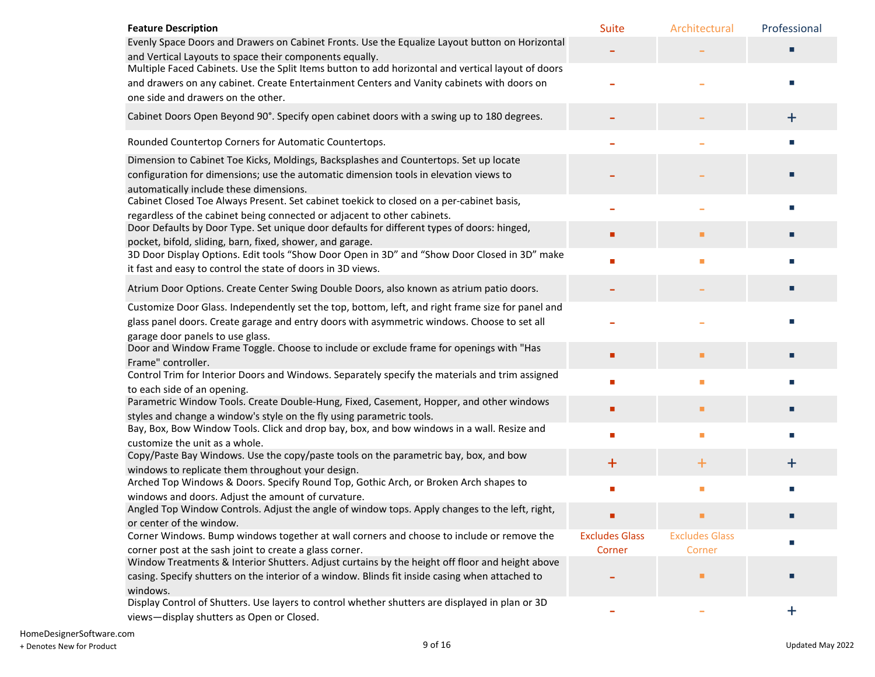| <b>Feature Description</b>                                                                                                                                           | <b>Suite</b>          | Architectural         | Professional |
|----------------------------------------------------------------------------------------------------------------------------------------------------------------------|-----------------------|-----------------------|--------------|
| Evenly Space Doors and Drawers on Cabinet Fronts. Use the Equalize Layout button on Horizontal                                                                       |                       |                       |              |
| and Vertical Layouts to space their components equally.<br>Multiple Faced Cabinets. Use the Split Items button to add horizontal and vertical layout of doors        |                       |                       |              |
| and drawers on any cabinet. Create Entertainment Centers and Vanity cabinets with doors on                                                                           |                       |                       |              |
| one side and drawers on the other.                                                                                                                                   |                       |                       |              |
|                                                                                                                                                                      |                       |                       |              |
| Cabinet Doors Open Beyond 90°. Specify open cabinet doors with a swing up to 180 degrees.                                                                            |                       |                       | $\ddot{}$    |
| Rounded Countertop Corners for Automatic Countertops.                                                                                                                |                       |                       |              |
| Dimension to Cabinet Toe Kicks, Moldings, Backsplashes and Countertops. Set up locate                                                                                |                       |                       |              |
| configuration for dimensions; use the automatic dimension tools in elevation views to<br>automatically include these dimensions.                                     |                       |                       |              |
| Cabinet Closed Toe Always Present. Set cabinet toekick to closed on a per-cabinet basis,<br>regardless of the cabinet being connected or adjacent to other cabinets. |                       |                       |              |
| Door Defaults by Door Type. Set unique door defaults for different types of doors: hinged,                                                                           |                       | ■                     |              |
| pocket, bifold, sliding, barn, fixed, shower, and garage.                                                                                                            |                       |                       |              |
| 3D Door Display Options. Edit tools "Show Door Open in 3D" and "Show Door Closed in 3D" make<br>it fast and easy to control the state of doors in 3D views.          |                       | П                     |              |
|                                                                                                                                                                      |                       |                       |              |
| Atrium Door Options. Create Center Swing Double Doors, also known as atrium patio doors.                                                                             |                       |                       |              |
| Customize Door Glass. Independently set the top, bottom, left, and right frame size for panel and                                                                    |                       |                       |              |
| glass panel doors. Create garage and entry doors with asymmetric windows. Choose to set all                                                                          |                       |                       |              |
| garage door panels to use glass.                                                                                                                                     |                       |                       |              |
| Door and Window Frame Toggle. Choose to include or exclude frame for openings with "Has<br>Frame" controller.                                                        |                       | п                     |              |
| Control Trim for Interior Doors and Windows. Separately specify the materials and trim assigned                                                                      |                       |                       |              |
| to each side of an opening.                                                                                                                                          |                       | п                     |              |
| Parametric Window Tools. Create Double-Hung, Fixed, Casement, Hopper, and other windows                                                                              |                       | п                     |              |
| styles and change a window's style on the fly using parametric tools.                                                                                                |                       |                       |              |
| Bay, Box, Bow Window Tools. Click and drop bay, box, and bow windows in a wall. Resize and                                                                           | п                     | п                     |              |
| customize the unit as a whole.<br>Copy/Paste Bay Windows. Use the copy/paste tools on the parametric bay, box, and bow                                               |                       |                       |              |
| windows to replicate them throughout your design.                                                                                                                    | $\pm$                 | $\bm{+}$              | ┿            |
| Arched Top Windows & Doors. Specify Round Top, Gothic Arch, or Broken Arch shapes to                                                                                 |                       | п                     |              |
| windows and doors. Adjust the amount of curvature.                                                                                                                   |                       |                       |              |
| Angled Top Window Controls. Adjust the angle of window tops. Apply changes to the left, right,                                                                       |                       |                       |              |
| or center of the window.<br>Corner Windows. Bump windows together at wall corners and choose to include or remove the                                                | <b>Excludes Glass</b> | <b>Excludes Glass</b> |              |
| corner post at the sash joint to create a glass corner.                                                                                                              | Corner                | Corner                |              |
| Window Treatments & Interior Shutters. Adjust curtains by the height off floor and height above                                                                      |                       |                       |              |
| casing. Specify shutters on the interior of a window. Blinds fit inside casing when attached to                                                                      |                       | п                     |              |
| windows.                                                                                                                                                             |                       |                       |              |
| Display Control of Shutters. Use layers to control whether shutters are displayed in plan or 3D                                                                      |                       |                       | $\ddagger$   |
| views-display shutters as Open or Closed.                                                                                                                            |                       |                       |              |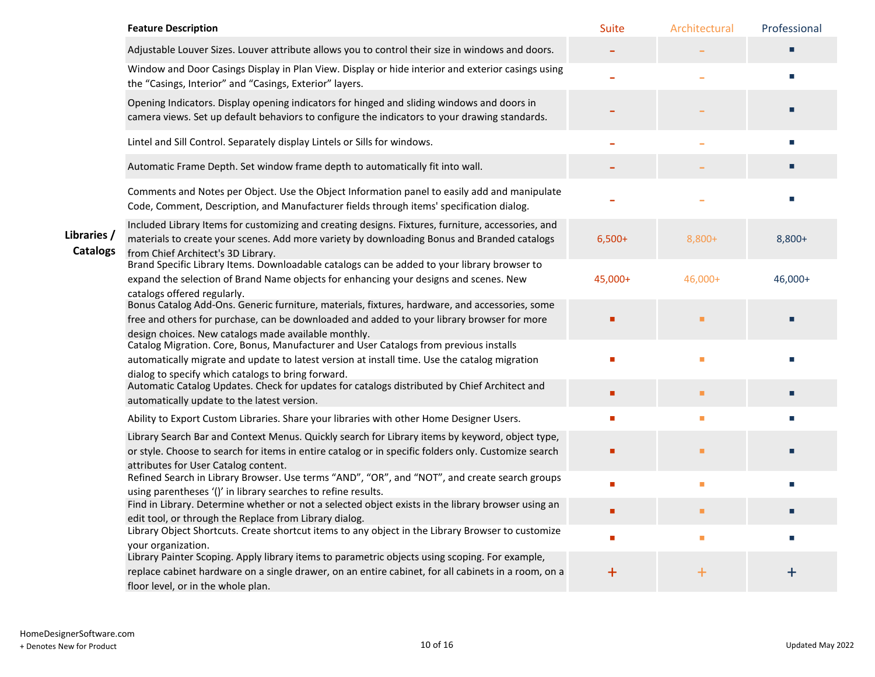|                                | <b>Feature Description</b>                                                                                                                                                                                                                                        | Suite    | Architectural | Professional |
|--------------------------------|-------------------------------------------------------------------------------------------------------------------------------------------------------------------------------------------------------------------------------------------------------------------|----------|---------------|--------------|
|                                | Adjustable Louver Sizes. Louver attribute allows you to control their size in windows and doors.                                                                                                                                                                  |          |               |              |
|                                | Window and Door Casings Display in Plan View. Display or hide interior and exterior casings using<br>the "Casings, Interior" and "Casings, Exterior" layers.                                                                                                      |          |               |              |
|                                | Opening Indicators. Display opening indicators for hinged and sliding windows and doors in<br>camera views. Set up default behaviors to configure the indicators to your drawing standards.                                                                       |          |               |              |
|                                | Lintel and Sill Control. Separately display Lintels or Sills for windows.                                                                                                                                                                                         |          |               |              |
|                                | Automatic Frame Depth. Set window frame depth to automatically fit into wall.                                                                                                                                                                                     |          |               |              |
|                                | Comments and Notes per Object. Use the Object Information panel to easily add and manipulate<br>Code, Comment, Description, and Manufacturer fields through items' specification dialog.                                                                          |          |               |              |
| Libraries /<br><b>Catalogs</b> | Included Library Items for customizing and creating designs. Fixtures, furniture, accessories, and<br>materials to create your scenes. Add more variety by downloading Bonus and Branded catalogs<br>from Chief Architect's 3D Library.                           | $6,500+$ | 8,800+        | 8,800+       |
|                                | Brand Specific Library Items. Downloadable catalogs can be added to your library browser to<br>expand the selection of Brand Name objects for enhancing your designs and scenes. New<br>catalogs offered regularly.                                               | 45,000+  | 46,000+       | 46,000+      |
|                                | Bonus Catalog Add-Ons. Generic furniture, materials, fixtures, hardware, and accessories, some<br>free and others for purchase, can be downloaded and added to your library browser for more<br>design choices. New catalogs made available monthly.              |          | п             |              |
|                                | Catalog Migration. Core, Bonus, Manufacturer and User Catalogs from previous installs<br>automatically migrate and update to latest version at install time. Use the catalog migration<br>dialog to specify which catalogs to bring forward.                      |          | п             |              |
|                                | Automatic Catalog Updates. Check for updates for catalogs distributed by Chief Architect and<br>automatically update to the latest version.                                                                                                                       | п        | ٠             |              |
|                                | Ability to Export Custom Libraries. Share your libraries with other Home Designer Users.                                                                                                                                                                          |          | п             |              |
|                                | Library Search Bar and Context Menus. Quickly search for Library items by keyword, object type,<br>or style. Choose to search for items in entire catalog or in specific folders only. Customize search<br>attributes for User Catalog content.                   |          | ٠             |              |
|                                | Refined Search in Library Browser. Use terms "AND", "OR", and "NOT", and create search groups<br>using parentheses '()' in library searches to refine results.                                                                                                    | п        | п             |              |
|                                | Find in Library. Determine whether or not a selected object exists in the library browser using an<br>edit tool, or through the Replace from Library dialog.                                                                                                      |          | ٠             |              |
|                                | Library Object Shortcuts. Create shortcut items to any object in the Library Browser to customize                                                                                                                                                                 | п        | п             |              |
|                                | your organization.<br>Library Painter Scoping. Apply library items to parametric objects using scoping. For example,<br>replace cabinet hardware on a single drawer, on an entire cabinet, for all cabinets in a room, on a<br>floor level, or in the whole plan. | $\bm{+}$ | $\ddot{}$     | +            |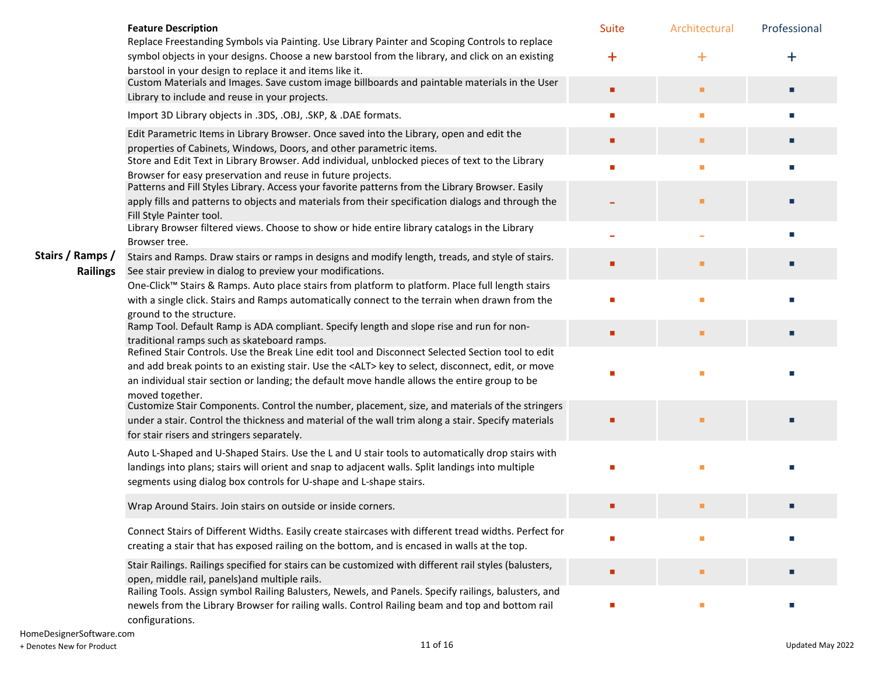|                  | <b>Feature Description</b>                                                                                                                                                                                                                                                                                     | <b>Suite</b> | Architectural | Professional     |
|------------------|----------------------------------------------------------------------------------------------------------------------------------------------------------------------------------------------------------------------------------------------------------------------------------------------------------------|--------------|---------------|------------------|
|                  | Replace Freestanding Symbols via Painting. Use Library Painter and Scoping Controls to replace<br>symbol objects in your designs. Choose a new barstool from the library, and click on an existing<br>barstool in your design to replace it and items like it.                                                 | $+$          | $\bf{+}$      | $\boldsymbol{+}$ |
|                  | Custom Materials and Images. Save custom image billboards and paintable materials in the User<br>Library to include and reuse in your projects.                                                                                                                                                                | п            | ٠             | п                |
|                  | Import 3D Library objects in .3DS, .OBJ, .SKP, & .DAE formats.                                                                                                                                                                                                                                                 |              | ٠             | п                |
|                  | Edit Parametric Items in Library Browser. Once saved into the Library, open and edit the<br>properties of Cabinets, Windows, Doors, and other parametric items.                                                                                                                                                | п            | ٠             | п                |
|                  | Store and Edit Text in Library Browser. Add individual, unblocked pieces of text to the Library                                                                                                                                                                                                                | п            | ٠             | п                |
|                  | Browser for easy preservation and reuse in future projects.<br>Patterns and Fill Styles Library. Access your favorite patterns from the Library Browser. Easily                                                                                                                                                |              |               |                  |
|                  | apply fills and patterns to objects and materials from their specification dialogs and through the<br>Fill Style Painter tool.                                                                                                                                                                                 |              | п             |                  |
|                  | Library Browser filtered views. Choose to show or hide entire library catalogs in the Library<br>Browser tree.                                                                                                                                                                                                 |              |               | п                |
| Stairs / Ramps / | Stairs and Ramps. Draw stairs or ramps in designs and modify length, treads, and style of stairs.                                                                                                                                                                                                              |              | ٠             |                  |
| <b>Railings</b>  | See stair preview in dialog to preview your modifications.<br>One-Click™ Stairs & Ramps. Auto place stairs from platform to platform. Place full length stairs                                                                                                                                                 |              |               |                  |
|                  | with a single click. Stairs and Ramps automatically connect to the terrain when drawn from the                                                                                                                                                                                                                 | п            | ٠             |                  |
|                  | ground to the structure.                                                                                                                                                                                                                                                                                       |              |               |                  |
|                  | Ramp Tool. Default Ramp is ADA compliant. Specify length and slope rise and run for non-<br>traditional ramps such as skateboard ramps.                                                                                                                                                                        |              | п             |                  |
|                  | Refined Stair Controls. Use the Break Line edit tool and Disconnect Selected Section tool to edit<br>and add break points to an existing stair. Use the <alt> key to select, disconnect, edit, or move<br/>an individual stair section or landing; the default move handle allows the entire group to be</alt> |              | п             |                  |
|                  | moved together.<br>Customize Stair Components. Control the number, placement, size, and materials of the stringers                                                                                                                                                                                             |              |               |                  |
|                  | under a stair. Control the thickness and material of the wall trim along a stair. Specify materials<br>for stair risers and stringers separately.                                                                                                                                                              |              | ٠             |                  |
|                  | Auto L-Shaped and U-Shaped Stairs. Use the L and U stair tools to automatically drop stairs with<br>landings into plans; stairs will orient and snap to adjacent walls. Split landings into multiple<br>segments using dialog box controls for U-shape and L-shape stairs.                                     |              |               |                  |
|                  | Wrap Around Stairs. Join stairs on outside or inside corners.                                                                                                                                                                                                                                                  |              | п             |                  |
|                  | Connect Stairs of Different Widths. Easily create staircases with different tread widths. Perfect for<br>creating a stair that has exposed railing on the bottom, and is encased in walls at the top.                                                                                                          |              |               |                  |
|                  | Stair Railings. Railings specified for stairs can be customized with different rail styles (balusters,<br>open, middle rail, panels) and multiple rails.                                                                                                                                                       |              | ٠             | П                |
|                  | Railing Tools. Assign symbol Railing Balusters, Newels, and Panels. Specify railings, balusters, and<br>newels from the Library Browser for railing walls. Control Railing beam and top and bottom rail<br>configurations.                                                                                     |              | ш             |                  |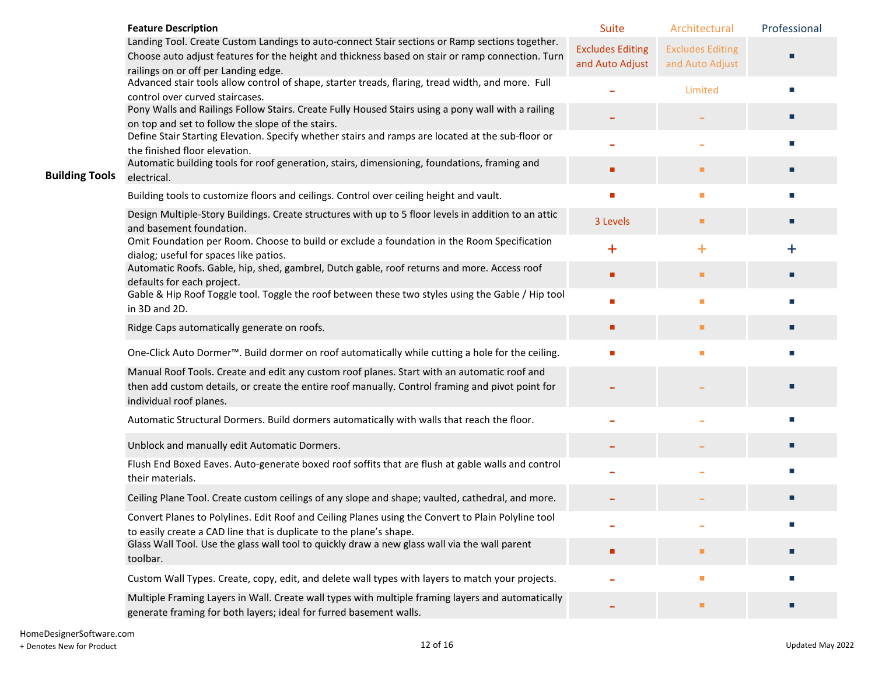|                       | <b>Feature Description</b>                                                                                                                                                                         | Suite                   | Architectural           | Professional |
|-----------------------|----------------------------------------------------------------------------------------------------------------------------------------------------------------------------------------------------|-------------------------|-------------------------|--------------|
|                       | Landing Tool. Create Custom Landings to auto-connect Stair sections or Ramp sections together.<br>Choose auto adjust features for the height and thickness based on stair or ramp connection. Turn | <b>Excludes Editing</b> | <b>Excludes Editing</b> |              |
|                       | railings on or off per Landing edge.                                                                                                                                                               | and Auto Adjust         | and Auto Adjust         |              |
|                       | Advanced stair tools allow control of shape, starter treads, flaring, tread width, and more. Full                                                                                                  |                         | Limited                 | п            |
|                       | control over curved staircases.<br>Pony Walls and Railings Follow Stairs. Create Fully Housed Stairs using a pony wall with a railing                                                              |                         |                         |              |
|                       | on top and set to follow the slope of the stairs.                                                                                                                                                  |                         |                         | п            |
|                       | Define Stair Starting Elevation. Specify whether stairs and ramps are located at the sub-floor or<br>the finished floor elevation.                                                                 |                         |                         | п            |
| <b>Building Tools</b> | Automatic building tools for roof generation, stairs, dimensioning, foundations, framing and<br>electrical.                                                                                        | ٠                       | ٠                       | п            |
|                       | Building tools to customize floors and ceilings. Control over ceiling height and vault.                                                                                                            | ٠                       | ш                       | п            |
|                       | Design Multiple-Story Buildings. Create structures with up to 5 floor levels in addition to an attic<br>and basement foundation.                                                                   | 3 Levels                | ٠                       | П            |
|                       | Omit Foundation per Room. Choose to build or exclude a foundation in the Room Specification<br>dialog; useful for spaces like patios.                                                              | $\ddagger$              | $\ddot{\phantom{1}}$    | $\ddag$      |
|                       | Automatic Roofs. Gable, hip, shed, gambrel, Dutch gable, roof returns and more. Access roof                                                                                                        | п                       | ٠                       | п            |
|                       | defaults for each project.<br>Gable & Hip Roof Toggle tool. Toggle the roof between these two styles using the Gable / Hip tool                                                                    |                         |                         |              |
|                       | in 3D and 2D.                                                                                                                                                                                      | $\mathbf{r}$            | ш                       | п            |
|                       | Ridge Caps automatically generate on roofs.                                                                                                                                                        | ٠                       | ٠                       | п            |
|                       | One-Click Auto Dormer™. Build dormer on roof automatically while cutting a hole for the ceiling.                                                                                                   |                         | п                       |              |
|                       | Manual Roof Tools. Create and edit any custom roof planes. Start with an automatic roof and<br>then add custom details, or create the entire roof manually. Control framing and pivot point for    |                         |                         |              |
|                       | individual roof planes.                                                                                                                                                                            |                         |                         |              |
|                       | Automatic Structural Dormers. Build dormers automatically with walls that reach the floor.                                                                                                         |                         |                         |              |
|                       | Unblock and manually edit Automatic Dormers.                                                                                                                                                       |                         |                         |              |
|                       | Flush End Boxed Eaves. Auto-generate boxed roof soffits that are flush at gable walls and control<br>their materials.                                                                              |                         |                         |              |
|                       | Ceiling Plane Tool. Create custom ceilings of any slope and shape; vaulted, cathedral, and more.                                                                                                   |                         |                         | П            |
|                       | Convert Planes to Polylines. Edit Roof and Ceiling Planes using the Convert to Plain Polyline tool<br>to easily create a CAD line that is duplicate to the plane's shape.                          |                         |                         |              |
|                       | Glass Wall Tool. Use the glass wall tool to quickly draw a new glass wall via the wall parent<br>toolbar.                                                                                          | ٠                       | п                       |              |
|                       | Custom Wall Types. Create, copy, edit, and delete wall types with layers to match your projects.                                                                                                   |                         | п                       |              |
|                       | Multiple Framing Layers in Wall. Create wall types with multiple framing layers and automatically<br>generate framing for both layers; ideal for furred basement walls.                            |                         | ٠                       |              |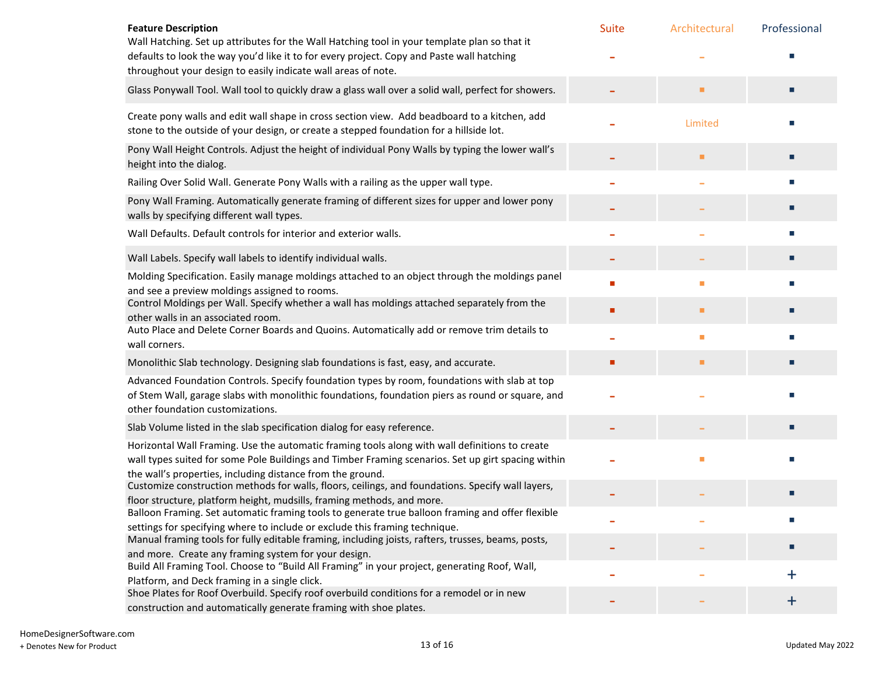| <b>Feature Description</b>                                                                                                                                                                                                                                         | Suite | Architectural | Professional |
|--------------------------------------------------------------------------------------------------------------------------------------------------------------------------------------------------------------------------------------------------------------------|-------|---------------|--------------|
| Wall Hatching. Set up attributes for the Wall Hatching tool in your template plan so that it<br>defaults to look the way you'd like it to for every project. Copy and Paste wall hatching<br>throughout your design to easily indicate wall areas of note.         |       |               |              |
| Glass Ponywall Tool. Wall tool to quickly draw a glass wall over a solid wall, perfect for showers.                                                                                                                                                                |       | ٠             |              |
| Create pony walls and edit wall shape in cross section view. Add beadboard to a kitchen, add<br>stone to the outside of your design, or create a stepped foundation for a hillside lot.                                                                            |       | Limited       |              |
| Pony Wall Height Controls. Adjust the height of individual Pony Walls by typing the lower wall's<br>height into the dialog.                                                                                                                                        |       | п             |              |
| Railing Over Solid Wall. Generate Pony Walls with a railing as the upper wall type.                                                                                                                                                                                |       |               |              |
| Pony Wall Framing. Automatically generate framing of different sizes for upper and lower pony<br>walls by specifying different wall types.                                                                                                                         |       |               |              |
| Wall Defaults. Default controls for interior and exterior walls.                                                                                                                                                                                                   |       |               |              |
| Wall Labels. Specify wall labels to identify individual walls.                                                                                                                                                                                                     |       |               |              |
| Molding Specification. Easily manage moldings attached to an object through the moldings panel<br>and see a preview moldings assigned to rooms.                                                                                                                    |       | п             |              |
| Control Moldings per Wall. Specify whether a wall has moldings attached separately from the<br>other walls in an associated room.                                                                                                                                  | п     | п             |              |
| Auto Place and Delete Corner Boards and Quoins. Automatically add or remove trim details to<br>wall corners.                                                                                                                                                       |       | п             |              |
| Monolithic Slab technology. Designing slab foundations is fast, easy, and accurate.                                                                                                                                                                                | п     | п             |              |
| Advanced Foundation Controls. Specify foundation types by room, foundations with slab at top<br>of Stem Wall, garage slabs with monolithic foundations, foundation piers as round or square, and<br>other foundation customizations.                               |       |               |              |
| Slab Volume listed in the slab specification dialog for easy reference.                                                                                                                                                                                            |       |               |              |
| Horizontal Wall Framing. Use the automatic framing tools along with wall definitions to create<br>wall types suited for some Pole Buildings and Timber Framing scenarios. Set up girt spacing within<br>the wall's properties, including distance from the ground. |       | п             |              |
| Customize construction methods for walls, floors, ceilings, and foundations. Specify wall layers,                                                                                                                                                                  |       |               |              |
| floor structure, platform height, mudsills, framing methods, and more.<br>Balloon Framing. Set automatic framing tools to generate true balloon framing and offer flexible                                                                                         |       |               |              |
| settings for specifying where to include or exclude this framing technique.<br>Manual framing tools for fully editable framing, including joists, rafters, trusses, beams, posts,                                                                                  |       |               |              |
| and more. Create any framing system for your design.<br>Build All Framing Tool. Choose to "Build All Framing" in your project, generating Roof, Wall,                                                                                                              |       |               |              |
| Platform, and Deck framing in a single click.                                                                                                                                                                                                                      |       |               | $+$          |
| Shoe Plates for Roof Overbuild. Specify roof overbuild conditions for a remodel or in new<br>construction and automatically generate framing with shoe plates.                                                                                                     |       |               | $\pm$        |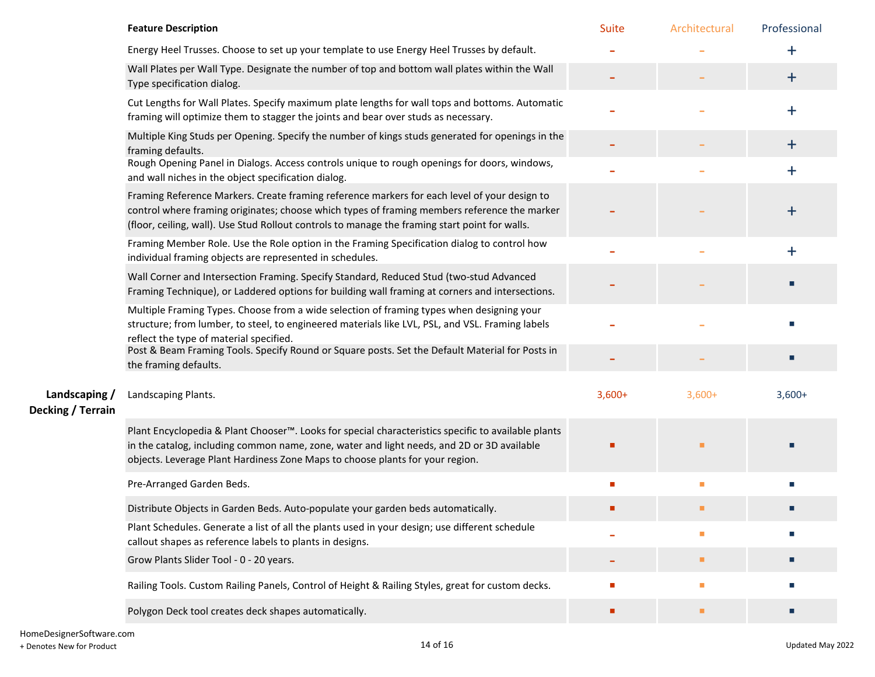|                                    | <b>Feature Description</b>                                                                                                                                                                                                                                                                     | Suite    | Architectural               | Professional     |
|------------------------------------|------------------------------------------------------------------------------------------------------------------------------------------------------------------------------------------------------------------------------------------------------------------------------------------------|----------|-----------------------------|------------------|
|                                    | Energy Heel Trusses. Choose to set up your template to use Energy Heel Trusses by default.                                                                                                                                                                                                     |          |                             | $\ddag$          |
|                                    | Wall Plates per Wall Type. Designate the number of top and bottom wall plates within the Wall<br>Type specification dialog.                                                                                                                                                                    |          |                             | $\ddagger$       |
|                                    | Cut Lengths for Wall Plates. Specify maximum plate lengths for wall tops and bottoms. Automatic<br>framing will optimize them to stagger the joints and bear over studs as necessary.                                                                                                          |          |                             | $\ddag$          |
|                                    | Multiple King Studs per Opening. Specify the number of kings studs generated for openings in the<br>framing defaults.                                                                                                                                                                          |          |                             | $\ddagger$       |
|                                    | Rough Opening Panel in Dialogs. Access controls unique to rough openings for doors, windows,<br>and wall niches in the object specification dialog.                                                                                                                                            |          |                             | $\ddag$          |
|                                    | Framing Reference Markers. Create framing reference markers for each level of your design to<br>control where framing originates; choose which types of framing members reference the marker<br>(floor, ceiling, wall). Use Stud Rollout controls to manage the framing start point for walls. |          |                             | $\boldsymbol{+}$ |
|                                    | Framing Member Role. Use the Role option in the Framing Specification dialog to control how<br>individual framing objects are represented in schedules.                                                                                                                                        |          |                             | $\ddag$          |
|                                    | Wall Corner and Intersection Framing. Specify Standard, Reduced Stud (two-stud Advanced<br>Framing Technique), or Laddered options for building wall framing at corners and intersections.                                                                                                     |          |                             |                  |
|                                    | Multiple Framing Types. Choose from a wide selection of framing types when designing your<br>structure; from lumber, to steel, to engineered materials like LVL, PSL, and VSL. Framing labels<br>reflect the type of material specified.                                                       |          |                             |                  |
|                                    | Post & Beam Framing Tools. Specify Round or Square posts. Set the Default Material for Posts in<br>the framing defaults.                                                                                                                                                                       |          |                             |                  |
| Landscaping /<br>Decking / Terrain | Landscaping Plants.                                                                                                                                                                                                                                                                            | $3,600+$ | $3,600+$                    | $3,600+$         |
|                                    | Plant Encyclopedia & Plant Chooser™. Looks for special characteristics specific to available plants<br>in the catalog, including common name, zone, water and light needs, and 2D or 3D available<br>objects. Leverage Plant Hardiness Zone Maps to choose plants for your region.             |          |                             |                  |
|                                    | Pre-Arranged Garden Beds.                                                                                                                                                                                                                                                                      |          | п                           | п                |
|                                    | Distribute Objects in Garden Beds. Auto-populate your garden beds automatically.                                                                                                                                                                                                               |          | п                           |                  |
|                                    | Plant Schedules. Generate a list of all the plants used in your design; use different schedule<br>callout shapes as reference labels to plants in designs.                                                                                                                                     |          | п                           |                  |
|                                    | Grow Plants Slider Tool - 0 - 20 years.                                                                                                                                                                                                                                                        |          | п                           |                  |
|                                    | Railing Tools. Custom Railing Panels, Control of Height & Railing Styles, great for custom decks.                                                                                                                                                                                              |          | $\mathcal{L}_{\mathcal{A}}$ | п                |
|                                    | Polygon Deck tool creates deck shapes automatically.                                                                                                                                                                                                                                           |          | п                           | П                |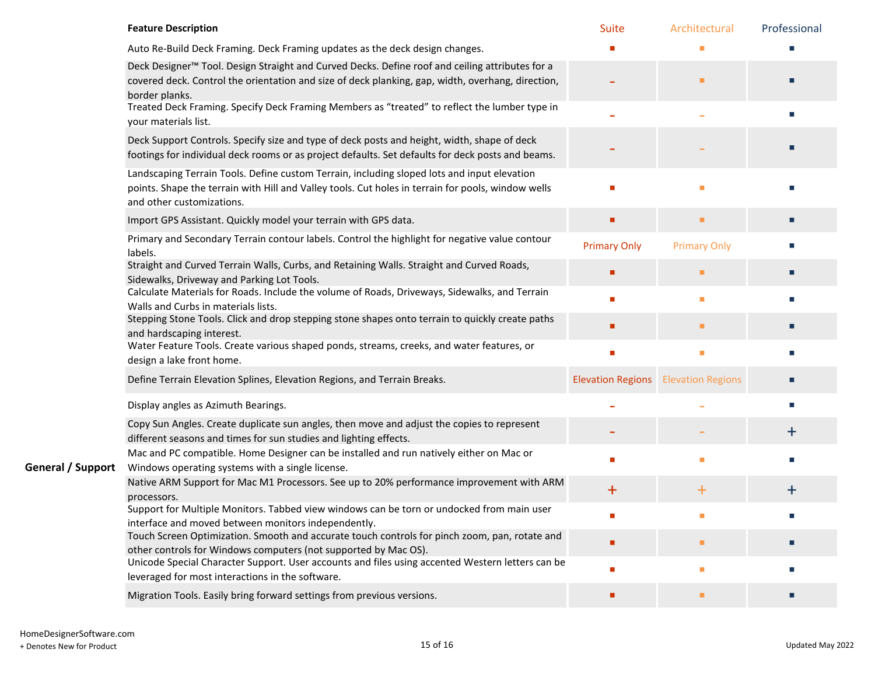|                   | <b>Feature Description</b>                                                                                                                                                                                                         | <b>Suite</b>        | Architectural                              | Professional |
|-------------------|------------------------------------------------------------------------------------------------------------------------------------------------------------------------------------------------------------------------------------|---------------------|--------------------------------------------|--------------|
|                   | Auto Re-Build Deck Framing. Deck Framing updates as the deck design changes.                                                                                                                                                       |                     |                                            |              |
|                   | Deck Designer <sup>™</sup> Tool. Design Straight and Curved Decks. Define roof and ceiling attributes for a<br>covered deck. Control the orientation and size of deck planking, gap, width, overhang, direction,<br>border planks. |                     | п                                          |              |
|                   | Treated Deck Framing. Specify Deck Framing Members as "treated" to reflect the lumber type in<br>your materials list.                                                                                                              |                     |                                            |              |
|                   | Deck Support Controls. Specify size and type of deck posts and height, width, shape of deck<br>footings for individual deck rooms or as project defaults. Set defaults for deck posts and beams.                                   |                     |                                            |              |
|                   | Landscaping Terrain Tools. Define custom Terrain, including sloped lots and input elevation<br>points. Shape the terrain with Hill and Valley tools. Cut holes in terrain for pools, window wells<br>and other customizations.     |                     |                                            |              |
|                   | Import GPS Assistant. Quickly model your terrain with GPS data.                                                                                                                                                                    |                     | п                                          |              |
|                   | Primary and Secondary Terrain contour labels. Control the highlight for negative value contour<br>labels.                                                                                                                          | <b>Primary Only</b> | <b>Primary Only</b>                        |              |
|                   | Straight and Curved Terrain Walls, Curbs, and Retaining Walls. Straight and Curved Roads,<br>Sidewalks, Driveway and Parking Lot Tools.                                                                                            |                     | ■                                          |              |
|                   | Calculate Materials for Roads. Include the volume of Roads, Driveways, Sidewalks, and Terrain<br>Walls and Curbs in materials lists.                                                                                               |                     | п                                          |              |
|                   | Stepping Stone Tools. Click and drop stepping stone shapes onto terrain to quickly create paths<br>and hardscaping interest.                                                                                                       |                     | п                                          |              |
|                   | Water Feature Tools. Create various shaped ponds, streams, creeks, and water features, or<br>design a lake front home.                                                                                                             |                     |                                            |              |
|                   | Define Terrain Elevation Splines, Elevation Regions, and Terrain Breaks.                                                                                                                                                           |                     | <b>Elevation Regions</b> Elevation Regions |              |
|                   | Display angles as Azimuth Bearings.                                                                                                                                                                                                |                     |                                            |              |
|                   | Copy Sun Angles. Create duplicate sun angles, then move and adjust the copies to represent<br>different seasons and times for sun studies and lighting effects.                                                                    |                     |                                            | ┿            |
| General / Support | Mac and PC compatible. Home Designer can be installed and run natively either on Mac or<br>Windows operating systems with a single license.                                                                                        |                     |                                            |              |
|                   | Native ARM Support for Mac M1 Processors. See up to 20% performance improvement with ARM<br>processors.                                                                                                                            | $\pm$               | $\bm{+}$                                   | $\bm{+}$     |
|                   | Support for Multiple Monitors. Tabbed view windows can be torn or undocked from main user<br>interface and moved between monitors independently.                                                                                   |                     |                                            |              |
|                   | Touch Screen Optimization. Smooth and accurate touch controls for pinch zoom, pan, rotate and<br>other controls for Windows computers (not supported by Mac OS).                                                                   |                     | п                                          |              |
|                   | Unicode Special Character Support. User accounts and files using accented Western letters can be<br>leveraged for most interactions in the software.                                                                               |                     | ٠                                          |              |
|                   | Migration Tools. Easily bring forward settings from previous versions.                                                                                                                                                             |                     | п                                          |              |